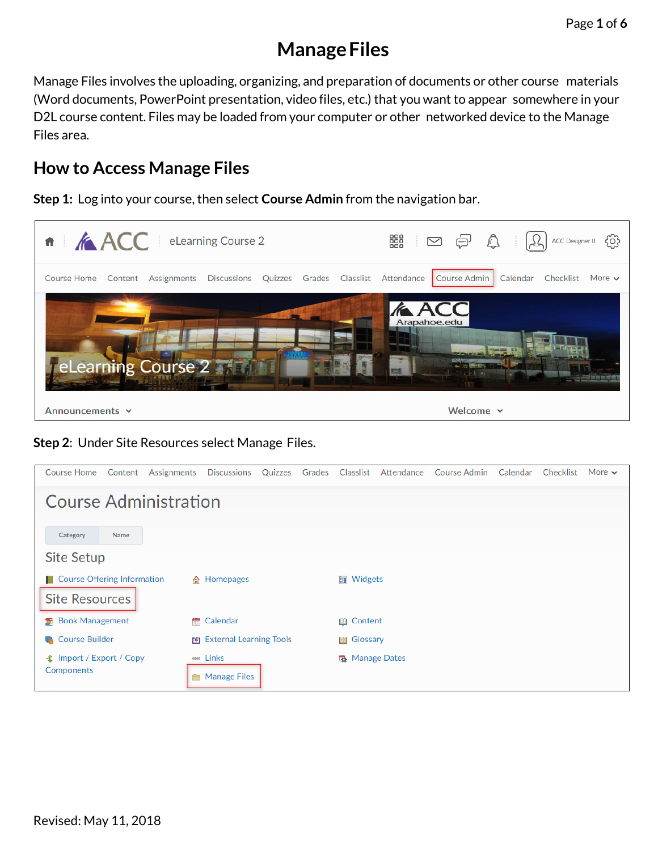# **Manage Files**

Manage Files involves the uploading, organizing, and preparation of documents or other course materials (Word documents, PowerPoint presentation, video files, etc.) that you want to appear somewhere in your D2L course content. Files may be loaded from your computer or other networked device to the Manage Files area.

#### **How to Access Manage Files**

**Step 1:** Log into your course, then select **Course Admin** from the navigation bar.



**Step 2**: Under Site Resources select Manage Files.

| <b>Course Home</b><br>Content           | <b>Discussions</b><br>Assignments |  |                       | Quizzes Grades Classlist Attendance Course Admin Calendar | Checklist | More $\vee$ |
|-----------------------------------------|-----------------------------------|--|-----------------------|-----------------------------------------------------------|-----------|-------------|
| <b>Course Administration</b>            |                                   |  |                       |                                                           |           |             |
| Name<br>Category                        |                                   |  |                       |                                                           |           |             |
| <b>Site Setup</b>                       |                                   |  |                       |                                                           |           |             |
| <b>Course Offering Information</b><br>P | <b>企</b> Homepages                |  | <b>III</b> Widgets    |                                                           |           |             |
| <b>Site Resources</b>                   |                                   |  |                       |                                                           |           |             |
| <b>E</b> Book Management                | <b>E</b> Calendar                 |  | <b>Exp. Content</b>   |                                                           |           |             |
| Course Builder                          | <b>EXternal Learning Tools</b>    |  | <b>III</b> Glossary   |                                                           |           |             |
| <b>全</b> Import / Export / Copy         | <b>BED</b> Links                  |  | <b>B</b> Manage Dates |                                                           |           |             |
| Components                              | <b>Manage Files</b><br>a and de   |  |                       |                                                           |           |             |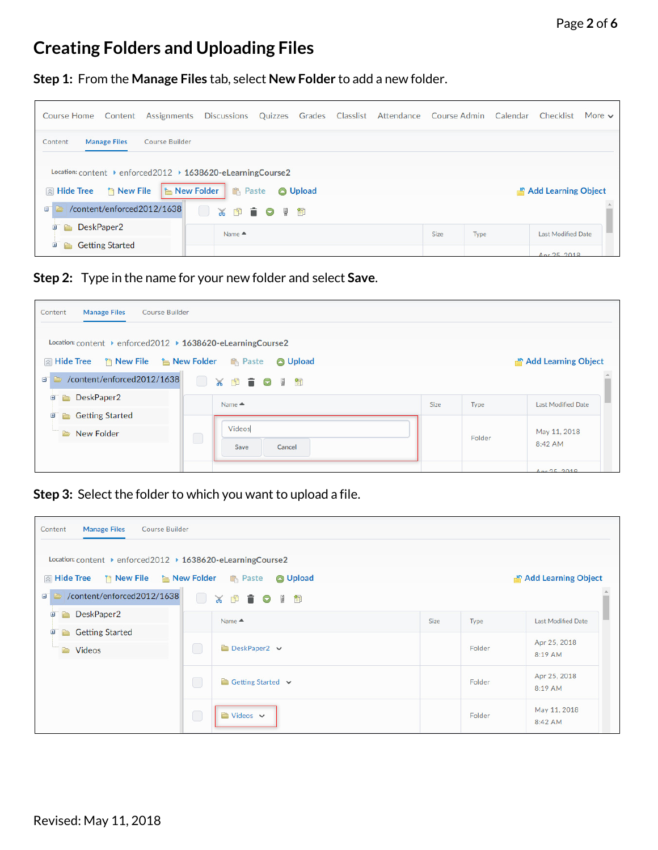### **Creating Folders and Uploading Files**

**Step 1:** From the **Manage Files** tab, select **New Folder** to add a new folder.

| <b>Assignments</b><br><b>Course Home</b><br>Content             | Discussions Quizzes Grades Classlist                            |  |  |  |  | Attendance Course Admin Calendar Checklist |  |                           | More $\sim$ |
|-----------------------------------------------------------------|-----------------------------------------------------------------|--|--|--|--|--------------------------------------------|--|---------------------------|-------------|
| <b>Course Builder</b><br><b>Manage Files</b><br>Content         |                                                                 |  |  |  |  |                                            |  |                           |             |
|                                                                 | Location: content ▶ enforced2012 ▶ 1638620-eLearningCourse2     |  |  |  |  |                                            |  |                           |             |
| <b>Thew File</b><br>$\mathbb{R}$ Hide Tree                      | New Folder<br><b>R</b> Paste<br>Add Learning Object<br>O Upload |  |  |  |  |                                            |  |                           |             |
| $\approx$ /content/enforced2012/1638<br>ď<br><b>XDIOVE</b><br>n |                                                                 |  |  |  |  |                                            |  |                           |             |
| DeskPaper2<br>圃<br>n.                                           | Name $\triangle$                                                |  |  |  |  | Size<br>Type                               |  | <b>Last Modified Date</b> |             |
| <b>Getting Started</b><br>$\pm$<br>À                            |                                                                 |  |  |  |  |                                            |  | Apr 25, 2018              |             |

**Step 2:** Type in the name for your new folder and select **Save**.

| Content<br><b>Manage Files</b><br><b>Course Builder</b>                                                                                                        |        |                          |      |        |                           |
|----------------------------------------------------------------------------------------------------------------------------------------------------------------|--------|--------------------------|------|--------|---------------------------|
| Location: content ▶ enforced2012 ▶ 1638620-eLearningCourse2<br><b>Example 12 New File 12 New Folder 13 Paste @ Upload</b><br>$\Box$ /content/enforced2012/1638 | $\Box$ | <b>X 中言O W 即</b>         |      |        | Add Learning Object       |
| DeskPaper2<br>由<br>ò                                                                                                                                           |        | Name $\triangle$         | Size | Type   | <b>Last Modified Date</b> |
| <b>Getting Started</b><br>田<br>New Folder                                                                                                                      |        | Videos<br>Cancel<br>Save |      | Folder | May 11, 2018<br>8:42 AM   |
|                                                                                                                                                                |        |                          |      |        | Ans. 25.2018              |

**Step 3:** Select the folder to which you want to upload a file.

| <b>Manage Files</b><br><b>Course Builder</b><br>Content                                      |            |                        |      |        |                           |
|----------------------------------------------------------------------------------------------|------------|------------------------|------|--------|---------------------------|
| Location: content ▶ enforced2012 ▶ 1638620-eLearningCourse2                                  |            |                        |      |        |                           |
| <b>The Mew Folder The Paste</b><br>O Upload<br>Add Learning Object<br>$\mathbb{R}$ Hide Tree |            |                        |      |        |                           |
| $\Box$ /content/enforced2012/1638                                                            | $\bigcirc$ | ※ ① ■ ● ■ 图            |      |        |                           |
| DeskPaper2<br>田<br>È                                                                         |            | Name $\triangle$       | Size | Type   | <b>Last Modified Date</b> |
| <b>Getting Started</b><br>圃<br>Ò                                                             |            |                        |      |        |                           |
| Videos                                                                                       | U          | DeskPaper2 v           |      | Folder | Apr 25, 2018<br>8:19 AM   |
|                                                                                              | O          | Getting Started $\sim$ |      | Folder | Apr 25, 2018<br>8:19 AM   |
|                                                                                              |            | ■ Videos ↓             |      | Folder | May 11, 2018<br>8:42 AM   |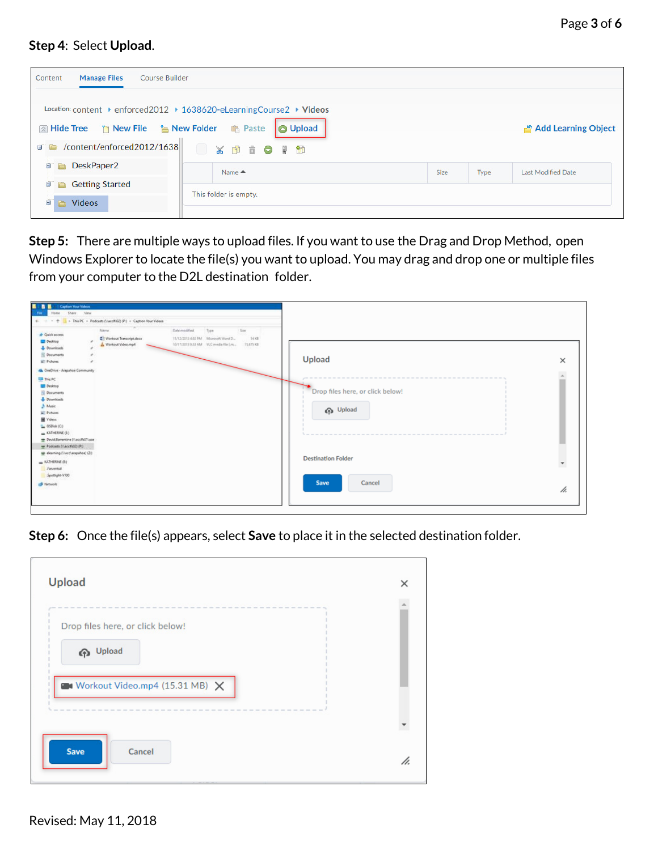#### **Step 4**: Select **Upload**.

| <b>Manage Files</b><br><b>Course Builder</b><br>Content    |                                                                                                             |      |      |                           |
|------------------------------------------------------------|-------------------------------------------------------------------------------------------------------------|------|------|---------------------------|
|                                                            | Location: content $\rightarrow$ enforced 2012 $\rightarrow$ 1638620-eLearning Course 2 $\rightarrow$ Videos |      |      |                           |
| <b>A Hide Tree Theory New File Line New Folder C</b> Paste | O Upload                                                                                                    |      |      | Add Learning Object       |
| Content/enforced2012/1638                                  | $\Box$<br><b>XDioVin</b>                                                                                    |      |      |                           |
| DeskPaper2<br>宙                                            | Name $\triangle$                                                                                            | Size | Type | <b>Last Modified Date</b> |
| <b>Getting Started</b><br>圃<br><b>D</b>                    | This folder is empty.                                                                                       |      |      |                           |
| in Videos<br>Đ                                             |                                                                                                             |      |      |                           |

**Step 5:** There are multiple ways to upload files. If you want to use the Drag and Drop Method, open Windows Explorer to locate the file(s) you want to upload. You may drag and drop one or multiple files from your computer to the D2L destination folder.

| + - + + + L > This PC + Podcasts (Nacolfs02) (P.) + Caption Your Videos<br>×<br>Date roodified<br><b>Name</b><br>Type<br>Size<br>11/12/2011 4:30 PM Microsoft Word D.,<br><b>B</b> Werkout Transcript docv<br>14 KB<br>×<br>10/17/2013 9:33 AM VLC media file Lin<br>Werkout Video.mp4<br>15,675.436<br><b><i>POLITANI</i></b><br>Upload<br>-------------------------<br>Drop files here, or click below!<br><b>Cp</b> Upload<br><b>Destination Folder</b> |                                                                                                                                                                                                                                                                                                                                                                                       |  |
|------------------------------------------------------------------------------------------------------------------------------------------------------------------------------------------------------------------------------------------------------------------------------------------------------------------------------------------------------------------------------------------------------------------------------------------------------------|---------------------------------------------------------------------------------------------------------------------------------------------------------------------------------------------------------------------------------------------------------------------------------------------------------------------------------------------------------------------------------------|--|
|                                                                                                                                                                                                                                                                                                                                                                                                                                                            |                                                                                                                                                                                                                                                                                                                                                                                       |  |
|                                                                                                                                                                                                                                                                                                                                                                                                                                                            | al Quick access<br>Desinop<br>Downloads<br><b>Documents</b><br>- Pictures<br>A CoeDrive - Anapahoe Community<br><b>List This PC</b><br>Desktop<br><b>Documents</b><br>Downloads<br>h Music<br>Pictures<br>Wideos<br>$L$ OSDisk (C)<br>$=$ KATHERINE (E)<br>David Barrentine (Nacchs07iuse)<br>Podcasts (Nacchill2) (P.)<br>elearning (Nacclarapahoe) (Zi)<br>XATHERAE(E)<br>Joeventsd |  |

**Step 6:** Once the file(s) appears, select **Save** to place it in the selected destination folder.

| Upload                           | × |
|----------------------------------|---|
| Drop files here, or click below! |   |
| <b>A</b> Upload                  |   |
| Workout Video.mp4 (15.31 MB) X   |   |
|                                  |   |
|                                  |   |
|                                  |   |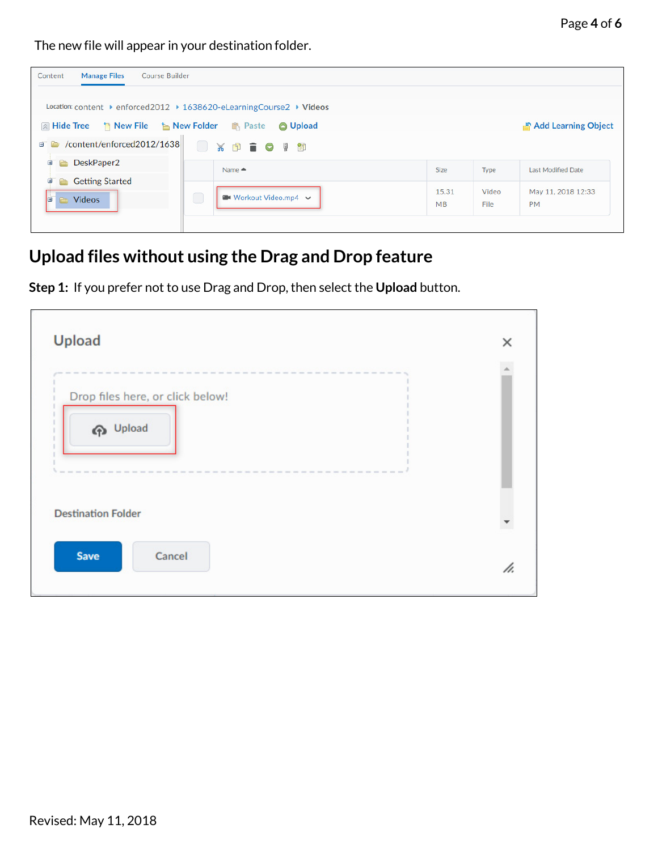The new file will appear in your destination folder.

| <b>Manage Files</b><br><b>Course Builder</b><br>Content |                                                                      |             |               |                                 |
|---------------------------------------------------------|----------------------------------------------------------------------|-------------|---------------|---------------------------------|
|                                                         | Location: content ▶ enforced2012 ▶ 1638620-eLearningCourse2 ▶ Videos |             |               |                                 |
| <b>Example 12 The Mew File to New Folder Resp</b> Paste | O Upload                                                             |             |               | Add Learning Object             |
| /content/enforced2012/1638<br>$\Box$ $\Box$             | <b>XDIO I T</b><br>L.                                                |             |               |                                 |
| DeskPaper2<br>圃<br>Ò                                    | Name $\triangle$                                                     | Size        | Type          | <b>Last Modified Date</b>       |
| <b>Getting Started</b><br>Θ<br>ò<br>la Videos<br>E      | Workout Video.mp4 v<br>a.<br>Sila                                    | 15.31<br>MB | Video<br>File | May 11, 2018 12:33<br><b>PM</b> |

## **Upload files without using the Drag and Drop feature**

**Step 1:** If you prefer not to use Drag and Drop, then select the **Upload** button.

| Upload                                                      |                                                                                                          | × |
|-------------------------------------------------------------|----------------------------------------------------------------------------------------------------------|---|
| and the<br><b>STATE</b><br>Drop files here, or click below! | and loss loss does she was loss loss loss was such loss loss loss was loss loss loss loss loss loss loss |   |
| <b>A</b> Upload                                             |                                                                                                          |   |
|                                                             | was the two two con-<br><b>STATE</b>                                                                     |   |
|                                                             |                                                                                                          |   |
| <b>Destination Folder</b>                                   |                                                                                                          |   |
| <b>Save</b><br>Cancel                                       |                                                                                                          |   |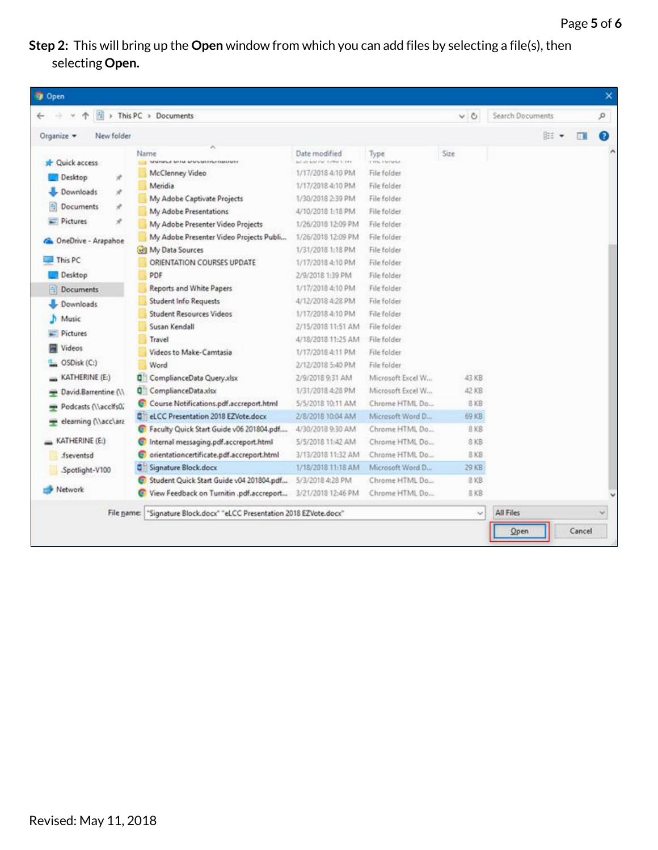**Step 2:** This will bring up the **Open** window from which you can add files by selecting a file(s), then selecting **Open.**

|                                                                                                                                                                                                                                     | > This PC > Documents                                                                                                                                                                                                                                                                                                                                                                                                                          |                                                                                                                                                                                                                                                                                                                                                                                                         |                                                                                                                                                                                                                                                                             | $\vee$ 0                       | Search Documents |   | $\mathcal{D}$ |
|-------------------------------------------------------------------------------------------------------------------------------------------------------------------------------------------------------------------------------------|------------------------------------------------------------------------------------------------------------------------------------------------------------------------------------------------------------------------------------------------------------------------------------------------------------------------------------------------------------------------------------------------------------------------------------------------|---------------------------------------------------------------------------------------------------------------------------------------------------------------------------------------------------------------------------------------------------------------------------------------------------------------------------------------------------------------------------------------------------------|-----------------------------------------------------------------------------------------------------------------------------------------------------------------------------------------------------------------------------------------------------------------------------|--------------------------------|------------------|---|---------------|
| New folder<br>Organize *                                                                                                                                                                                                            |                                                                                                                                                                                                                                                                                                                                                                                                                                                |                                                                                                                                                                                                                                                                                                                                                                                                         |                                                                                                                                                                                                                                                                             |                                | 888 ▼            | п | $\bullet$     |
| <b>Quick access</b><br><b>Desktop</b><br>y.<br>- Downloads<br>×<br>Documents<br>À.<br>$=$ Pictures<br>÷<br>ConeDrive - Arapahoe<br>This PC<br>Desktop<br>- Documents<br>- Downloads<br>h Music<br>Pictures<br>Videos<br>OSDisk (C:) | Name<br><b>COMPANY WINDSHIPS CONTROL</b><br>McClenney Video<br>Meridia<br>My Adobe Captivate Projects<br>My Adobe Presentations<br>My Adobe Presenter Video Projects<br>My Adobe Presenter Video Projects Publi<br>of My Data Sources<br>ORIENTATION COURSES UPDATE<br><b>PDF</b><br>Reports and White Papers<br><b>Student Info Requests</b><br><b>Student Resources Videos</b><br>Susan Kendall<br>Travel<br>Videos to Make-Camtasia<br>Word | Date modified<br>and one and that increase it winds.<br>1/17/2018 4:10 PM<br>1/17/2018 4:10 PM<br>1/30/2018 2:39 PM<br>4/10/2018 1:18 PM<br>1/26/2018 12:09 PM<br>1/26/2018 12:09 PM<br>1/31/2018 1:18 PM<br>1/17/2018 4:10 PM<br>2/9/2018 1:39 PM<br>1/17/2018 4:10 PM<br>4/12/2018 4:28 PM<br>1/17/2018 4:10 PM<br>2/15/2018 11:51 AM<br>4/18/2018 11:25 AM<br>1/17/2018 4:11 PM<br>2/12/2018 5:40 PM | Type.<br><b>EDG ENTIRES</b><br>File folder<br>File folder<br>File folder<br>File folder<br>File folder<br>File folder<br>File folder<br>File folder<br>File folder<br>File folder<br>File folder<br>File folder<br>File folder<br>File folder<br>File folder<br>File folder | Size                           |                  |   |               |
| KATHERINE (E:)                                                                                                                                                                                                                      | ComplianceData Query.xlsx                                                                                                                                                                                                                                                                                                                                                                                                                      | 2/9/2018 9:31 AM                                                                                                                                                                                                                                                                                                                                                                                        | Microsoft Excel W                                                                                                                                                                                                                                                           | 43 KB                          |                  |   |               |
| David.Barrentine (\\<br>Podcasts (\\acclfs0;<br>elearning (\\acc\ara                                                                                                                                                                | <b>Q</b> <sup>1</sup> ComplianceData.xlsx<br>Course Notifications.pdf.accreport.html<br>C eLCC Presentation 2018 EZVote.docx                                                                                                                                                                                                                                                                                                                   | 1/31/2018 4:28 PM<br>5/5/2018 10:11 AM<br>2/8/2018 10:04 AM<br>4/30/2018 9:30 AM                                                                                                                                                                                                                                                                                                                        | Microsoft Excel W<br>Chrome HTML Do<br>Microsoft Word D<br>Chrome HTML Do                                                                                                                                                                                                   | 42 KB<br>8 KB<br>69 KB<br>8 KB |                  |   |               |
| KATHERINE (E:)                                                                                                                                                                                                                      | Faculty Quick Start Guide v06 201804.pdf<br>Internal messaging.pdf.accreport.html                                                                                                                                                                                                                                                                                                                                                              | 5/5/2018 11:42 AM                                                                                                                                                                                                                                                                                                                                                                                       | Chrome HTML Do                                                                                                                                                                                                                                                              | 8 KB                           |                  |   |               |
| fseventsd<br>.Spotlight-V100                                                                                                                                                                                                        | cientationcertificate.pdf.accreport.html<br>Signature Block.docx                                                                                                                                                                                                                                                                                                                                                                               | 3/13/2018 11:32 AM<br>1/18/2018 11:18 AM                                                                                                                                                                                                                                                                                                                                                                | Chrome HTML Do<br>Microsoft Word D                                                                                                                                                                                                                                          | B KB<br>29 KB                  |                  |   |               |
|                                                                                                                                                                                                                                     | Student Quick Start Guide v04 201804.pdf                                                                                                                                                                                                                                                                                                                                                                                                       | 5/3/2018 4:28 PM<br>3/21/2018 12:46 PM                                                                                                                                                                                                                                                                                                                                                                  | Chrome HTML Do<br>Chrome HTML Do                                                                                                                                                                                                                                            | 8 KB<br>8 KB                   |                  |   |               |